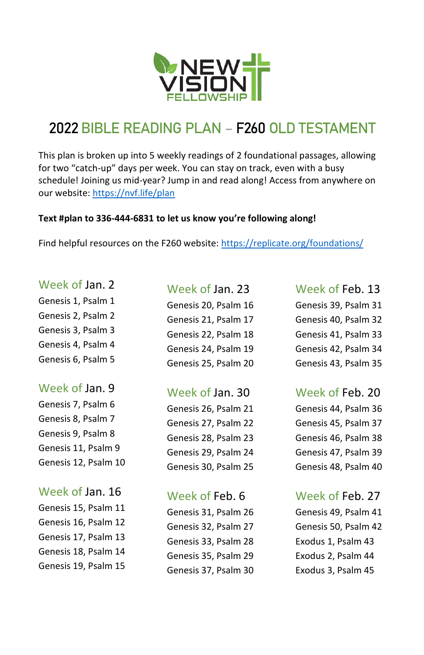

# **2022**BIBLE READING PLAN – F260 OLD TESTAMENT

This plan is broken up into 5 weekly readings of 2 foundational passages, allowing for two "catch-up" days per week. You can stay on track, even with a busy schedule! Joining us mid-year? Jump in and read along! Access from anywhere on our website[: https://nvf.life/plan](https://nvf.life/plan)

#### **Text #plan to 336-444-6831 to let us know you're following along!**

Find helpful resources on the F260 website: <https://replicate.org/foundations/>

#### Week of Jan. 2

Genesis 1, Psalm 1 Genesis 2, Psalm 2 Genesis 3, Psalm 3

Genesis 4, Psalm 4 Genesis 6, Psalm 5

## Week of Jan. 9

Genesis 7, Psalm 6 Genesis 8, Psalm 7 Genesis 9, Psalm 8 Genesis 11, Psalm 9 Genesis 12, Psalm 10

## Week of Jan. 16

Genesis 15, Psalm 11 Genesis 16, Psalm 12 Genesis 17, Psalm 13 Genesis 18, Psalm 14 Genesis 19, Psalm 15

## Week of Jan. 23

Genesis 20, Psalm 16 Genesis 21, Psalm 17 Genesis 22, Psalm 18 Genesis 24, Psalm 19 Genesis 25, Psalm 20

## Week of Jan. 30

Genesis 26, Psalm 21 Genesis 27, Psalm 22 Genesis 28, Psalm 23 Genesis 29, Psalm 24 Genesis 30, Psalm 25

## Week of Feb. 6

Genesis 31, Psalm 26 Genesis 32, Psalm 27 Genesis 33, Psalm 28 Genesis 35, Psalm 29 Genesis 37, Psalm 30

#### Week of Feb. 13

Genesis 39, Psalm 31 Genesis 40, Psalm 32 Genesis 41, Psalm 33 Genesis 42, Psalm 34 Genesis 43, Psalm 35

# Week of Feb. 20

Genesis 44, Psalm 36 Genesis 45, Psalm 37 Genesis 46, Psalm 38 Genesis 47, Psalm 39 Genesis 48, Psalm 40

# Week of Feb. 27

Genesis 49, Psalm 41 Genesis 50, Psalm 42 Exodus 1, Psalm 43 Exodus 2, Psalm 44 Exodus 3, Psalm 45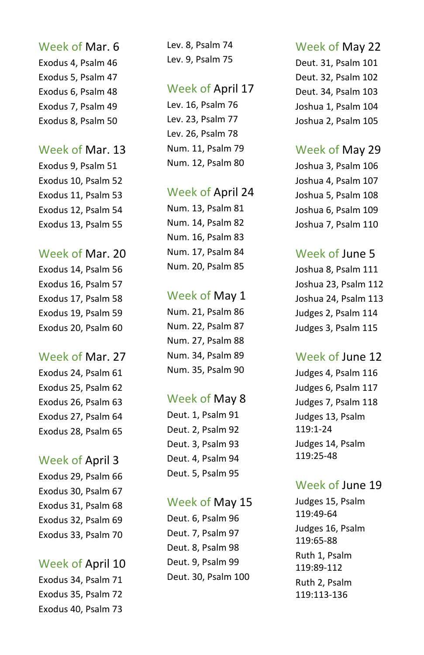#### Week of Mar. 6

Exodus 4, Psalm 46 Exodus 5, Psalm 47 Exodus 6, Psalm 48 Exodus 7, Psalm 49 Exodus 8, Psalm 50

#### Week of Mar. 13

Exodus 9, Psalm 51 Exodus 10, Psalm 52 Exodus 11, Psalm 53 Exodus 12, Psalm 54 Exodus 13, Psalm 55

#### Week of Mar. 20

Exodus 14, Psalm 56 Exodus 16, Psalm 57 Exodus 17, Psalm 58 Exodus 19, Psalm 59 Exodus 20, Psalm 60

#### Week of Mar. 27

Exodus 24, Psalm 61 Exodus 25, Psalm 62 Exodus 26, Psalm 63 Exodus 27, Psalm 64 Exodus 28, Psalm 65

## Week of April 3

Exodus 29, Psalm 66 Exodus 30, Psalm 67 Exodus 31, Psalm 68 Exodus 32, Psalm 69 Exodus 33, Psalm 70

# Week of April 10

Exodus 34, Psalm 71 Exodus 35, Psalm 72 Exodus 40, Psalm 73

Lev. 8, Psalm 74 Lev. 9, Psalm 75

## Week of April 17

Lev. 16, Psalm 76 Lev. 23, Psalm 77 Lev. 26, Psalm 78 Num. 11, Psalm 79 Num. 12, Psalm 80

## Week of April 24

Num. 13, Psalm 81 Num. 14, Psalm 82 Num. 16, Psalm 83 Num. 17, Psalm 84 Num. 20, Psalm 85

## Week of May 1

Num. 21, Psalm 86 Num. 22, Psalm 87 Num. 27, Psalm 88 Num. 34, Psalm 89 Num. 35, Psalm 90

## Week of May 8

Deut. 1, Psalm 91 Deut. 2, Psalm 92 Deut. 3, Psalm 93 Deut. 4, Psalm 94 Deut. 5, Psalm 95

#### Week of May 15

Deut. 6, Psalm 96 Deut. 7, Psalm 97 Deut. 8, Psalm 98 Deut. 9, Psalm 99 Deut. 30, Psalm 100

## Week of May 22

Deut. 31, Psalm 101 Deut. 32, Psalm 102 Deut. 34, Psalm 103 Joshua 1, Psalm 104 Joshua 2, Psalm 105

## Week of May 29

Joshua 3, Psalm 106 Joshua 4, Psalm 107 Joshua 5, Psalm 108 Joshua 6, Psalm 109 Joshua 7, Psalm 110

# Week of June 5

Joshua 8, Psalm 111 Joshua 23, Psalm 112 Joshua 24, Psalm 113 Judges 2, Psalm 114 Judges 3, Psalm 115

# Week of June 12

Judges 4, Psalm 116 Judges 6, Psalm 117 Judges 7, Psalm 118 Judges 13, Psalm 119:1-24 Judges 14, Psalm  $119.25 - 48$ 

## Week of June 19

Judges 15, Psalm 119:49-64 Judges 16, Psalm 119:65-88 Ruth 1, Psalm 119:89-112 Ruth 2, Psalm 119:113-136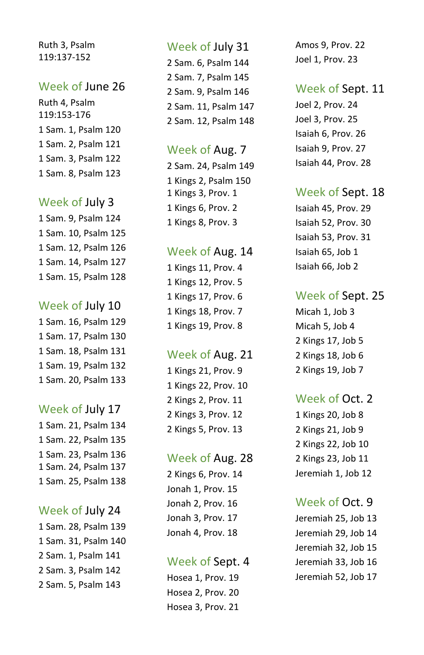Ruth 3, Psalm 119:137 -152

## Week of June 2 6

Ruth 4, Psalm 119:153 -176 1 Sam. 1, Psalm 120 1 Sam. 2, Psalm 121 1 Sam. 3, Psalm 122 1 Sam. 8, Psalm 123

## Week of July 3

1 Sam. 9, Psalm 124 1 Sam. 10, Psalm 125 1 Sam. 12, Psalm 126 1 Sam. 14, Psalm 127 1 Sam. 15, Psalm 128

## Week of July 1 0

1 Sam. 16, Psalm 129 1 Sam. 17, Psalm 130 1 Sam. 18, Psalm 131 1 Sam. 19, Psalm 132 1 Sam. 20, Psalm 133

## Week of July 1 7

1 Sam. 21, Psalm 134 1 Sam. 22, Psalm 135 1 Sam. 23, Psalm 136 1 Sam. 24, Psalm 137 1 Sam. 25, Psalm 138

## Week of July 2 4

1 Sam. 28, Psalm 139 1 Sam. 31, Psalm 140 2 Sam. 1, Psalm 141 2 Sam. 3, Psalm 142 2 Sam. 5, Psalm 143

## Week of July 31

2 Sam. 6, Psalm 144 2 Sam. 7, Psalm 145 2 Sam. 9, Psalm 146 2 Sam. 11, Psalm 147 2 Sam. 12, Psalm 148

## Week of Aug. 7

2 Sam. 24, Psalm 149 1 Kings 2, Psalm 150 1 Kings 3, Prov. 1 1 Kings 6, Prov. 2 1 Kings 8, Prov. 3

## Week of Aug. 1 4

1 Kings 11, Prov. 4 Kings 12, Prov. 5 Kings 17, Prov. 6 Kings 18, Prov. 7 Kings 19, Prov. 8

## Week of Aug. 2 1

1 Kings 21, Prov. 9 1 Kings 22, Prov. 10 2 Kings 2, Prov. 11 2 Kings 3, Prov. 12 2 Kings 5, Prov. 13

## Week of Aug. 2 8

2 Kings 6, Prov. 14 Jonah 1, Prov. 15 Jonah 2, Prov. 16 Jonah 3, Prov. 17 Jonah 4, Prov. 18

## Week of Sept. 4

Hosea 1, Prov. 19 Hosea 2, Prov. 20 Hosea 3, Prov. 21

Amos 9, Prov. 22 Joel 1, Prov. 23

## Week of Sept. 11

Joel 2, Prov. 24 Joel 3, Prov. 25 Isaiah 6, Prov. 26 Isaiah 9, Prov. 27 Isaiah 44, Prov. 28

## Week of Sept. 1 8

Isaiah 45, Prov. 29 Isaiah 52, Prov. 30 Isaiah 53, Prov. 31 Isaiah 65, Job 1 Isaiah 66, Job 2

## Week of Sept. 2 5

Micah 1, Job 3 Micah 5, Job 4 2 Kings 17, Job 5 2 Kings 18, Job 6 2 Kings 19, Job 7

## Week of Oct. 2

1 Kings 20, Job 8 2 Kings 21, Job 9 2 Kings 22, Job 10 2 Kings 23, Job 11 Jeremiah 1, Job 12

## Week of Oct. 9

Jeremiah 25, Job 13 Jeremiah 29, Job 14 Jeremiah 32, Job 15 Jeremiah 33, Job 16 Jeremiah 52, Job 17